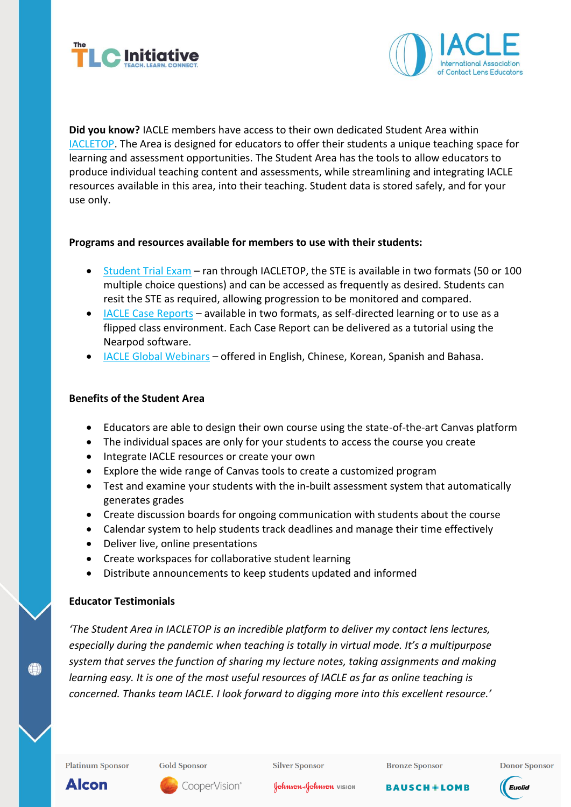



**Did you know?** IACLE members have access to their own dedicated Student Area within [IACLETOP.](https://iacle.instructure.com/login/canvas) The Area is designed for educators to offer their students a unique teaching space for learning and assessment opportunities. The Student Area has the tools to allow educators to produce individual teaching content and assessments, while streamlining and integrating IACLE resources available in this area, into their teaching. Student data is stored safely, and for your use only.

# **Programs and resources available for members to use with their students:**

- [Student Trial Exam](https://iacle.org/programs/student-trial-exam/) ran through IACLETOP, the STE is available in two formats (50 or 100 multiple choice questions) and can be accessed as frequently as desired. Students can resit the STE as required, allowing progression to be monitored and compared.
- [IACLE Case Reports](https://iacle.instructure.com/courses/182) available in two formats, as self-directed learning or to use as a flipped class environment. Each Case Report can be delivered as a tutorial using the Nearpod software.
- [IACLE Global Webinars](https://iacle.instructure.com/courses/35) offered in English, Chinese, Korean, Spanish and Bahasa.

### **Benefits of the Student Area**

- Educators are able to design their own course using the state-of-the-art Canvas platform
- The individual spaces are only for your students to access the course you create
- Integrate IACLE resources or create your own
- Explore the wide range of Canvas tools to create a customized program
- Test and examine your students with the in-built assessment system that automatically generates grades
- Create discussion boards for ongoing communication with students about the course
- Calendar system to help students track deadlines and manage their time effectively
- Deliver live, online presentations
- Create workspaces for collaborative student learning
- Distribute announcements to keep students updated and informed

# **Educator Testimonials**

*'The Student Area in IACLETOP is an incredible platform to deliver my contact lens lectures, especially during the pandemic when teaching is totally in virtual mode. It's a multipurpose system that serves the function of sharing my lecture notes, taking assignments and making learning easy. It is one of the most useful resources of IACLE as far as online teaching is concerned. Thanks team IACLE. I look forward to digging more into this excellent resource.'*

**Platinum Sponsor** 

**Gold Sponsor** 

**Silver Sponsor** 





**BAUSCH+LOMB** 

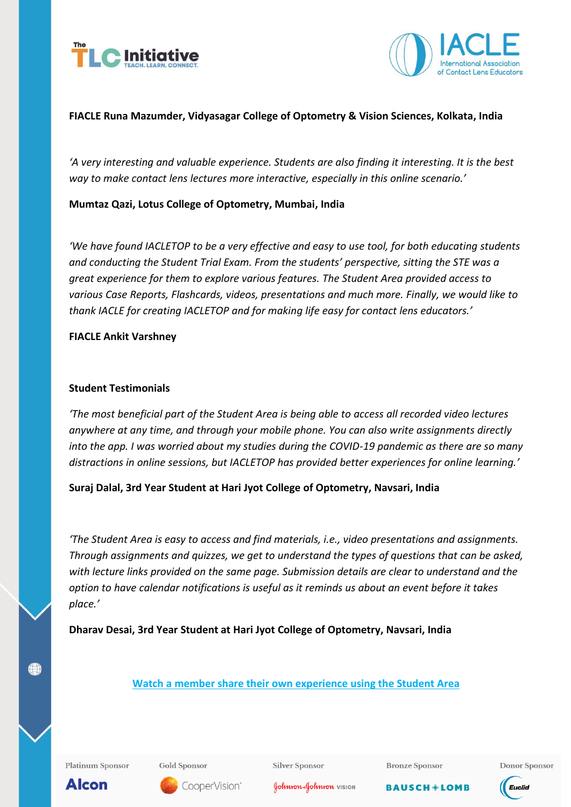



# **FIACLE Runa Mazumder, Vidyasagar College of Optometry & Vision Sciences, Kolkata, India**

'A very interesting and valuable experience. Students are also finding it interesting. It is the best *way to make contact lens lectures more interactive, especially in this online scenario.'*

# **Mumtaz Qazi, Lotus College of Optometry, Mumbai, India**

*'We have found IACLETOP to be a very effective and easy to use tool, for both educating students and conducting the Student Trial Exam. From the students' perspective, sitting the STE was a great experience for them to explore various features. The Student Area provided access to various Case Reports, Flashcards, videos, presentations and much more. Finally, we would like to thank IACLE for creating IACLETOP and for making life easy for contact lens educators.'*

### **FIACLE Ankit Varshney**

### **Student Testimonials**

*'The most beneficial part of the Student Area is being able to access all recorded video lectures anywhere at any time, and through your mobile phone. You can also write assignments directly into the app. I was worried about my studies during the COVID-19 pandemic as there are so many distractions in online sessions, but IACLETOP has provided better experiences for online learning.'*

**Suraj Dalal, 3rd Year Student at Hari Jyot College of Optometry, Navsari, India**

*'The Student Area is easy to access and find materials, i.e., video presentations and assignments. Through assignments and quizzes, we get to understand the types of questions that can be asked, with lecture links provided on the same page. Submission details are clear to understand and the option to have calendar notifications is useful as it reminds us about an event before it takes place.'*

**Dharav Desai, 3rd Year Student at Hari Jyot College of Optometry, Navsari, India**

**Platinum Sponsor** 

**Gold Sponsor** 

**Silver Sponsor** 

**Bronze Sponsor** 

**BAUSCH+LOMB** 

**Donor Sponsor** 



**Alcon** 

**(e)** 

CooperVision®

Johnson + Johnson VISION